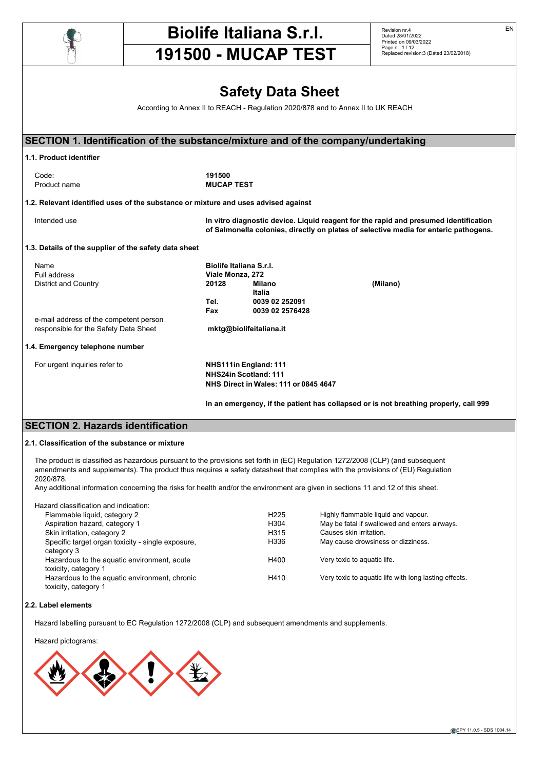

# **Biolife Italiana S.r.l.**

Revision nr.4 Dated 28/01/2022 Printed on 09/03/2022 Page n. 1 / 12 Replaced revision:3 (Dated 23/02/2018) EN

# **191500 - MUCAP TEST**

**Safety Data Sheet**

According to Annex II to REACH - Regulation 2020/878 and to Annex II to UK REACH

| SECTION 1. Identification of the substance/mixture and of the company/undertaking  |                   |                                       |                                                                                                                                                                              |
|------------------------------------------------------------------------------------|-------------------|---------------------------------------|------------------------------------------------------------------------------------------------------------------------------------------------------------------------------|
| 1.1. Product identifier                                                            |                   |                                       |                                                                                                                                                                              |
| Code:                                                                              | 191500            |                                       |                                                                                                                                                                              |
| Product name                                                                       | <b>MUCAP TEST</b> |                                       |                                                                                                                                                                              |
|                                                                                    |                   |                                       |                                                                                                                                                                              |
| 1.2. Relevant identified uses of the substance or mixture and uses advised against |                   |                                       |                                                                                                                                                                              |
| Intended use                                                                       |                   |                                       | In vitro diagnostic device. Liquid reagent for the rapid and presumed identification<br>of Salmonella colonies, directly on plates of selective media for enteric pathogens. |
| 1.3. Details of the supplier of the safety data sheet                              |                   |                                       |                                                                                                                                                                              |
| Name                                                                               |                   | Biolife Italiana S.r.I.               |                                                                                                                                                                              |
| Full address                                                                       | Viale Monza, 272  |                                       |                                                                                                                                                                              |
| <b>District and Country</b>                                                        | 20128             | <b>Milano</b>                         | (Milano)                                                                                                                                                                     |
|                                                                                    |                   | Italia                                |                                                                                                                                                                              |
|                                                                                    | Tel.              | 0039 02 252091                        |                                                                                                                                                                              |
|                                                                                    | <b>Fax</b>        | 0039 02 2576428                       |                                                                                                                                                                              |
| e-mail address of the competent person                                             |                   |                                       |                                                                                                                                                                              |
| responsible for the Safety Data Sheet                                              |                   | mktg@biolifeitaliana.it               |                                                                                                                                                                              |
|                                                                                    |                   |                                       |                                                                                                                                                                              |
| 1.4. Emergency telephone number                                                    |                   |                                       |                                                                                                                                                                              |
| For urgent inquiries refer to                                                      |                   | NHS111in England: 111                 |                                                                                                                                                                              |
|                                                                                    |                   | NHS24in Scotland: 111                 |                                                                                                                                                                              |
|                                                                                    |                   | NHS Direct in Wales: 111 or 0845 4647 |                                                                                                                                                                              |
|                                                                                    |                   |                                       |                                                                                                                                                                              |
|                                                                                    |                   |                                       | In an emergency, if the patient has collapsed or is not breathing properly, call 999                                                                                         |
| <b>SECTION 2. Hazards identification</b>                                           |                   |                                       |                                                                                                                                                                              |

## **2.1. Classification of the substance or mixture**

The product is classified as hazardous pursuant to the provisions set forth in (EC) Regulation 1272/2008 (CLP) (and subsequent amendments and supplements). The product thus requires a safety datasheet that complies with the provisions of (EU) Regulation 2020/878.

Any additional information concerning the risks for health and/or the environment are given in sections 11 and 12 of this sheet.

Hazard classification and indication:

| Flammable liquid, category 2                                          | H <sub>225</sub> | Highly flammable liquid and vapour.                   |
|-----------------------------------------------------------------------|------------------|-------------------------------------------------------|
| Aspiration hazard, category 1                                         | H <sub>304</sub> | May be fatal if swallowed and enters airways.         |
| Skin irritation, category 2                                           | H315             | Causes skin irritation.                               |
| Specific target organ toxicity - single exposure.<br>category 3       | H336             | May cause drowsiness or dizziness.                    |
| Hazardous to the aguatic environment, acute<br>toxicity, category 1   | H400             | Very toxic to aquatic life.                           |
| Hazardous to the aquatic environment, chronic<br>toxicity, category 1 | H410             | Very toxic to aquatic life with long lasting effects. |
|                                                                       |                  |                                                       |

## **2.2. Label elements**

Hazard labelling pursuant to EC Regulation 1272/2008 (CLP) and subsequent amendments and supplements.

Hazard pictograms:

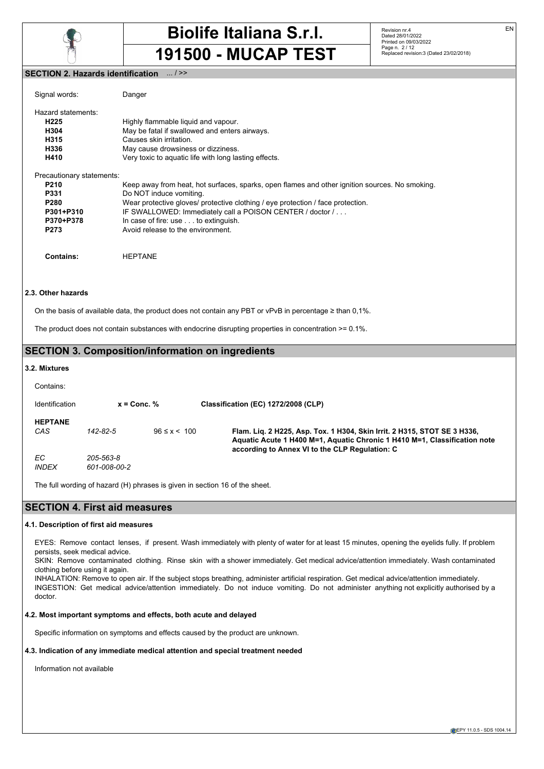

Revision nr.4 Dated 28/01/2022 Printed on 09/03/2022 Page n. 2 / 12 Replaced revision:3 (Dated 23/02/2018)

## **SECTION 2. Hazards identification** ... / >>

| Signal words:                                                                                          | Danger                                                                                                                                                                                                                                                                                                                                                |
|--------------------------------------------------------------------------------------------------------|-------------------------------------------------------------------------------------------------------------------------------------------------------------------------------------------------------------------------------------------------------------------------------------------------------------------------------------------------------|
| Hazard statements:<br>H <sub>225</sub><br>H304<br>H315<br>H336<br>H410                                 | Highly flammable liquid and vapour.<br>May be fatal if swallowed and enters airways.<br>Causes skin irritation.<br>May cause drowsiness or dizziness.<br>Very toxic to aquatic life with long lasting effects.                                                                                                                                        |
| Precautionary statements:<br><b>P210</b><br>P331<br>P280<br>P301+P310<br>P370+P378<br>P <sub>273</sub> | Keep away from heat, hot surfaces, sparks, open flames and other ignition sources. No smoking.<br>Do NOT induce vomiting.<br>Wear protective gloves/ protective clothing / eye protection / face protection.<br>IF SWALLOWED: Immediately call a POISON CENTER / doctor /<br>In case of fire: use to extinguish.<br>Avoid release to the environment. |
| Contains:                                                                                              | <b>HEPTANE</b>                                                                                                                                                                                                                                                                                                                                        |
| 2.3. Other hazards                                                                                     |                                                                                                                                                                                                                                                                                                                                                       |

On the basis of available data, the product does not contain any PBT or vPvB in percentage ≥ than 0,1%.

The product does not contain substances with endocrine disrupting properties in concentration >= 0.1%.

# **SECTION 3. Composition/information on ingredients**

#### **3.2. Mixtures**

| Contains:             |                           |                    |                                                                                                                                                                                                         |
|-----------------------|---------------------------|--------------------|---------------------------------------------------------------------------------------------------------------------------------------------------------------------------------------------------------|
| Identification        | $x =$ Conc. $\%$          |                    | Classification (EC) 1272/2008 (CLP)                                                                                                                                                                     |
| <b>HEPTANE</b><br>CAS | 142-82-5                  | $96 \le x \le 100$ | Flam. Lig. 2 H225, Asp. Tox. 1 H304, Skin Irrit. 2 H315, STOT SE 3 H336,<br>Aquatic Acute 1 H400 M=1, Aquatic Chronic 1 H410 M=1, Classification note<br>according to Annex VI to the CLP Regulation: C |
| EC.<br><b>INDEX</b>   | 205-563-8<br>601-008-00-2 |                    |                                                                                                                                                                                                         |

The full wording of hazard (H) phrases is given in section 16 of the sheet.

# **SECTION 4. First aid measures**

## **4.1. Description of first aid measures**

EYES: Remove contact lenses, if present. Wash immediately with plenty of water for at least 15 minutes, opening the eyelids fully. If problem persists, seek medical advice.

SKIN: Remove contaminated clothing. Rinse skin with a shower immediately. Get medical advice/attention immediately. Wash contaminated clothing before using it again.

INHALATION: Remove to open air. If the subject stops breathing, administer artificial respiration. Get medical advice/attention immediately. INGESTION: Get medical advice/attention immediately. Do not induce vomiting. Do not administer anything not explicitly authorised by a doctor.

### **4.2. Most important symptoms and effects, both acute and delayed**

Specific information on symptoms and effects caused by the product are unknown.

#### **4.3. Indication of any immediate medical attention and special treatment needed**

Information not available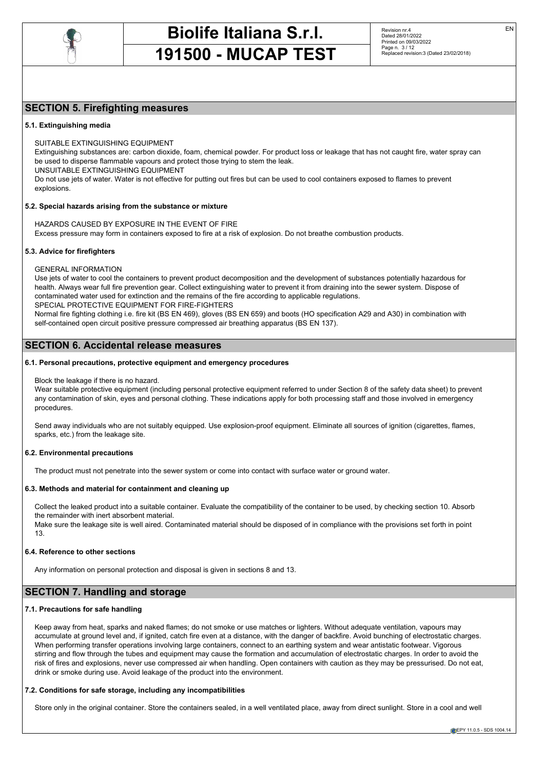

Revision nr.4 Dated 28/01/2022 Printed on 09/03/2022 Page n. 3 / 12 Replaced revision:3 (Dated 23/02/2018)

# **SECTION 5. Firefighting measures**

## **5.1. Extinguishing media**

SUITABLE EXTINGUISHING EQUIPMENT

Extinguishing substances are: carbon dioxide, foam, chemical powder. For product loss or leakage that has not caught fire, water spray can be used to disperse flammable vapours and protect those trying to stem the leak.

UNSUITABLE EXTINGUISHING EQUIPMENT

Do not use jets of water. Water is not effective for putting out fires but can be used to cool containers exposed to flames to prevent explosions.

### **5.2. Special hazards arising from the substance or mixture**

HAZARDS CAUSED BY EXPOSURE IN THE EVENT OF FIRE Excess pressure may form in containers exposed to fire at a risk of explosion. Do not breathe combustion products.

### **5.3. Advice for firefighters**

GENERAL INFORMATION

Use jets of water to cool the containers to prevent product decomposition and the development of substances potentially hazardous for health. Always wear full fire prevention gear. Collect extinguishing water to prevent it from draining into the sewer system. Dispose of contaminated water used for extinction and the remains of the fire according to applicable regulations. SPECIAL PROTECTIVE EQUIPMENT FOR FIRE-FIGHTERS

Normal fire fighting clothing i.e. fire kit (BS EN 469), gloves (BS EN 659) and boots (HO specification A29 and A30) in combination with self-contained open circuit positive pressure compressed air breathing apparatus (BS EN 137).

## **SECTION 6. Accidental release measures**

#### **6.1. Personal precautions, protective equipment and emergency procedures**

Block the leakage if there is no hazard.

Wear suitable protective equipment (including personal protective equipment referred to under Section 8 of the safety data sheet) to prevent any contamination of skin, eyes and personal clothing. These indications apply for both processing staff and those involved in emergency procedures.

Send away individuals who are not suitably equipped. Use explosion-proof equipment. Eliminate all sources of ignition (cigarettes, flames, sparks, etc.) from the leakage site.

## **6.2. Environmental precautions**

The product must not penetrate into the sewer system or come into contact with surface water or ground water.

#### **6.3. Methods and material for containment and cleaning up**

Collect the leaked product into a suitable container. Evaluate the compatibility of the container to be used, by checking section 10. Absorb the remainder with inert absorbent material.

Make sure the leakage site is well aired. Contaminated material should be disposed of in compliance with the provisions set forth in point 13.

#### **6.4. Reference to other sections**

Any information on personal protection and disposal is given in sections 8 and 13.

# **SECTION 7. Handling and storage**

#### **7.1. Precautions for safe handling**

Keep away from heat, sparks and naked flames; do not smoke or use matches or lighters. Without adequate ventilation, vapours may accumulate at ground level and, if ignited, catch fire even at a distance, with the danger of backfire. Avoid bunching of electrostatic charges. When performing transfer operations involving large containers, connect to an earthing system and wear antistatic footwear. Vigorous stirring and flow through the tubes and equipment may cause the formation and accumulation of electrostatic charges. In order to avoid the risk of fires and explosions, never use compressed air when handling. Open containers with caution as they may be pressurised. Do not eat, drink or smoke during use. Avoid leakage of the product into the environment.

#### **7.2. Conditions for safe storage, including any incompatibilities**

Store only in the original container. Store the containers sealed, in a well ventilated place, away from direct sunlight. Store in a cool and well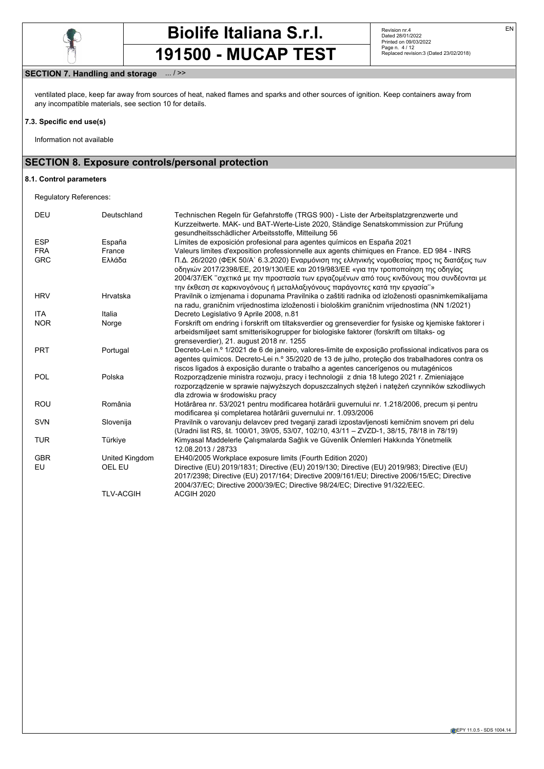

Revision nr.4 Dated 28/01/2022 Printed on 09/03/2022 Page n. 4 / 12 Replaced revision:3 (Dated 23/02/2018)

# **SECTION 7. Handling and storage** ... / >>

ventilated place, keep far away from sources of heat, naked flames and sparks and other sources of ignition. Keep containers away from any incompatible materials, see section 10 for details.

## **7.3. Specific end use(s)**

Information not available

# **SECTION 8. Exposure controls/personal protection**

### **8.1. Control parameters**

Regulatory References:

| <b>DEU</b> | Deutschland      | Technischen Regeln für Gefahrstoffe (TRGS 900) - Liste der Arbeitsplatzgrenzwerte und<br>Kurzzeitwerte. MAK- und BAT-Werte-Liste 2020, Ständige Senatskommission zur Prüfung                                                                                                                                                                                   |
|------------|------------------|----------------------------------------------------------------------------------------------------------------------------------------------------------------------------------------------------------------------------------------------------------------------------------------------------------------------------------------------------------------|
|            |                  | gesundheitsschädlicher Arbeitsstoffe, Mitteilung 56                                                                                                                                                                                                                                                                                                            |
| <b>ESP</b> | España           | Límites de exposición profesional para agentes químicos en España 2021                                                                                                                                                                                                                                                                                         |
| <b>FRA</b> | France           | Valeurs limites d'exposition professionnelle aux agents chimiques en France. ED 984 - INRS                                                                                                                                                                                                                                                                     |
| <b>GRC</b> | Ελλάδα           | Π.Δ. 26/2020 (ΦΕΚ 50/Α` 6.3.2020) Εναρμόνιση της ελληνικής νομοθεσίας προς τις διατάξεις των<br>οδηγιών 2017/2398/ΕΕ, 2019/130/ΕΕ και 2019/983/ΕΕ «για την τροποποίηση της οδηγίας<br>2004/37/ΕΚ "σχετικά με την προστασία των εργαζομένων από τους κινδύνους που συνδέονται με<br>την έκθεση σε καρκινογόνους ή μεταλλαξιγόνους παράγοντες κατά την εργασία"» |
| <b>HRV</b> | Hrvatska         | Pravilnik o izmjenama i dopunama Pravilnika o zaštiti radnika od izloženosti opasnimkemikalijama                                                                                                                                                                                                                                                               |
|            |                  | na radu, graničnim vrijednostima izloženosti i biološkim graničnim vrijednostima (NN 1/2021)                                                                                                                                                                                                                                                                   |
| ITA        | Italia           | Decreto Legislativo 9 Aprile 2008, n.81                                                                                                                                                                                                                                                                                                                        |
| <b>NOR</b> | Norge            | Forskrift om endring i forskrift om tiltaksverdier og grenseverdier for fysiske og kjemiske faktorer i                                                                                                                                                                                                                                                         |
|            |                  | arbeidsmiljøet samt smitterisikogrupper for biologiske faktorer (forskrift om tiltaks- og                                                                                                                                                                                                                                                                      |
|            |                  | grenseverdier), 21. august 2018 nr. 1255                                                                                                                                                                                                                                                                                                                       |
| <b>PRT</b> | Portugal         | Decreto-Lei n.º 1/2021 de 6 de janeiro, valores-limite de exposição profissional indicativos para os                                                                                                                                                                                                                                                           |
|            |                  | agentes químicos. Decreto-Lei n.º 35/2020 de 13 de julho, proteção dos trabalhadores contra os                                                                                                                                                                                                                                                                 |
|            |                  | riscos ligados à exposição durante o trabalho a agentes cancerígenos ou mutagénicos                                                                                                                                                                                                                                                                            |
| <b>POL</b> | Polska           | Rozporządzenie ministra rozwoju, pracy i technologii z dnia 18 lutego 2021 r. Zmieniające                                                                                                                                                                                                                                                                      |
|            |                  | rozporządzenie w sprawie najwyższych dopuszczalnych stężeń i natężeń czynników szkodliwych                                                                                                                                                                                                                                                                     |
|            |                  | dla zdrowia w środowisku pracy                                                                                                                                                                                                                                                                                                                                 |
| <b>ROU</b> | România          | Hotărârea nr. 53/2021 pentru modificarea hotărârii guvernului nr. 1.218/2006, precum și pentru<br>modificarea si completarea hotărârii quvernului nr. 1.093/2006                                                                                                                                                                                               |
| <b>SVN</b> | Slovenija        | Pravilnik o varovanju delavcev pred tveganji zaradi izpostavljenosti kemičnim snovem pri delu                                                                                                                                                                                                                                                                  |
|            |                  | (Uradni list RS, št. 100/01, 39/05, 53/07, 102/10, 43/11 - ZVZD-1, 38/15, 78/18 in 78/19)                                                                                                                                                                                                                                                                      |
| <b>TUR</b> | Türkiye          | Kimyasal Maddelerle Calısmalarda Sağlık ve Güvenlik Önlemleri Hakkında Yönetmelik                                                                                                                                                                                                                                                                              |
|            |                  | 12.08.2013 / 28733                                                                                                                                                                                                                                                                                                                                             |
| <b>GBR</b> | United Kingdom   | EH40/2005 Workplace exposure limits (Fourth Edition 2020)                                                                                                                                                                                                                                                                                                      |
| EU         | OEL EU           | Directive (EU) 2019/1831; Directive (EU) 2019/130; Directive (EU) 2019/983; Directive (EU)                                                                                                                                                                                                                                                                     |
|            |                  | 2017/2398; Directive (EU) 2017/164; Directive 2009/161/EU; Directive 2006/15/EC; Directive                                                                                                                                                                                                                                                                     |
|            |                  | 2004/37/EC; Directive 2000/39/EC; Directive 98/24/EC; Directive 91/322/EEC.                                                                                                                                                                                                                                                                                    |
|            | <b>TLV-ACGIH</b> | ACGIH 2020                                                                                                                                                                                                                                                                                                                                                     |
|            |                  |                                                                                                                                                                                                                                                                                                                                                                |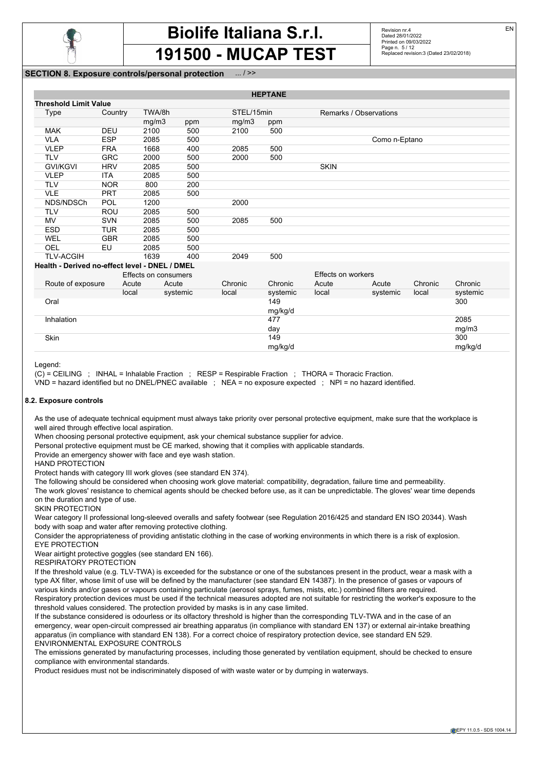

Revision nr.4 Dated 28/01/2022 Printed on 09/03/2022 Page n. 5 / 12 Replaced revision:3 (Dated 23/02/2018)

# **SECTION 8. Exposure controls/personal protection**

| <b>HEPTANE</b>                                 |            |                      |          |            |          |                    |                        |         |          |
|------------------------------------------------|------------|----------------------|----------|------------|----------|--------------------|------------------------|---------|----------|
| <b>Threshold Limit Value</b>                   |            |                      |          |            |          |                    |                        |         |          |
| Type                                           | Country    | TWA/8h               |          | STEL/15min |          |                    | Remarks / Observations |         |          |
|                                                |            | mg/m3                | ppm      | mg/m3      | ppm      |                    |                        |         |          |
| <b>MAK</b>                                     | <b>DEU</b> | 2100                 | 500      | 2100       | 500      |                    |                        |         |          |
| <b>VLA</b>                                     | <b>ESP</b> | 2085                 | 500      |            |          |                    | Como n-Eptano          |         |          |
| <b>VLEP</b>                                    | <b>FRA</b> | 1668                 | 400      | 2085       | 500      |                    |                        |         |          |
| <b>TLV</b>                                     | <b>GRC</b> | 2000                 | 500      | 2000       | 500      |                    |                        |         |          |
| <b>GVI/KGVI</b>                                | <b>HRV</b> | 2085                 | 500      |            |          | <b>SKIN</b>        |                        |         |          |
| <b>VLEP</b>                                    | <b>ITA</b> | 2085                 | 500      |            |          |                    |                        |         |          |
| <b>TLV</b>                                     | <b>NOR</b> | 800                  | 200      |            |          |                    |                        |         |          |
| <b>VLE</b>                                     | <b>PRT</b> | 2085                 | 500      |            |          |                    |                        |         |          |
| NDS/NDSCh                                      | <b>POL</b> | 1200                 |          | 2000       |          |                    |                        |         |          |
| <b>TLV</b>                                     | <b>ROU</b> | 2085                 | 500      |            |          |                    |                        |         |          |
| MV                                             | <b>SVN</b> | 2085                 | 500      | 2085       | 500      |                    |                        |         |          |
| <b>ESD</b>                                     | <b>TUR</b> | 2085                 | 500      |            |          |                    |                        |         |          |
| WEL                                            | <b>GBR</b> | 2085                 | 500      |            |          |                    |                        |         |          |
| OEL                                            | EU         | 2085                 | 500      |            |          |                    |                        |         |          |
| <b>TLV-ACGIH</b>                               |            | 1639                 | 400      | 2049       | 500      |                    |                        |         |          |
| Health - Derived no-effect level - DNEL / DMEL |            |                      |          |            |          |                    |                        |         |          |
|                                                |            | Effects on consumers |          |            |          | Effects on workers |                        |         |          |
| Route of exposure                              |            | Acute<br>Acute       |          | Chronic    | Chronic  | Acute              | Acute                  | Chronic | Chronic  |
|                                                |            | local                | systemic | local      | systemic | local              | systemic               | local   | systemic |
| Oral                                           |            |                      |          |            | 149      |                    |                        |         | 300      |
|                                                |            |                      |          |            | mg/kg/d  |                    |                        |         |          |
| Inhalation                                     |            |                      |          |            | 477      |                    |                        |         | 2085     |
|                                                |            |                      |          |            | day      |                    |                        |         | mg/m3    |
| Skin                                           |            |                      |          |            | 149      |                    |                        |         | 300      |
|                                                |            |                      |          |            | mg/kg/d  |                    |                        |         | mg/kg/d  |

Legend:

(C) = CEILING ; INHAL = Inhalable Fraction ; RESP = Respirable Fraction ; THORA = Thoracic Fraction.

VND = hazard identified but no DNEL/PNEC available ; NEA = no exposure expected ; NPI = no hazard identified.

#### **8.2. Exposure controls**

As the use of adequate technical equipment must always take priority over personal protective equipment, make sure that the workplace is well aired through effective local aspiration.

When choosing personal protective equipment, ask your chemical substance supplier for advice.

Personal protective equipment must be CE marked, showing that it complies with applicable standards.

Provide an emergency shower with face and eye wash station.

HAND PROTECTION

Protect hands with category III work gloves (see standard EN 374).

The following should be considered when choosing work glove material: compatibility, degradation, failure time and permeability.

The work gloves' resistance to chemical agents should be checked before use, as it can be unpredictable. The gloves' wear time depends on the duration and type of use.

SKIN PROTECTION

Wear category II professional long-sleeved overalls and safety footwear (see Regulation 2016/425 and standard EN ISO 20344). Wash body with soap and water after removing protective clothing.

Consider the appropriateness of providing antistatic clothing in the case of working environments in which there is a risk of explosion. EYE PROTECTION

Wear airtight protective goggles (see standard EN 166).

RESPIRATORY PROTECTION

If the threshold value (e.g. TLV-TWA) is exceeded for the substance or one of the substances present in the product, wear a mask with a type AX filter, whose limit of use will be defined by the manufacturer (see standard EN 14387). In the presence of gases or vapours of various kinds and/or gases or vapours containing particulate (aerosol sprays, fumes, mists, etc.) combined filters are required. Respiratory protection devices must be used if the technical measures adopted are not suitable for restricting the worker's exposure to the threshold values considered. The protection provided by masks is in any case limited.

If the substance considered is odourless or its olfactory threshold is higher than the corresponding TLV-TWA and in the case of an emergency, wear open-circuit compressed air breathing apparatus (in compliance with standard EN 137) or external air-intake breathing apparatus (in compliance with standard EN 138). For a correct choice of respiratory protection device, see standard EN 529. ENVIRONMENTAL EXPOSURE CONTROLS

The emissions generated by manufacturing processes, including those generated by ventilation equipment, should be checked to ensure compliance with environmental standards.

Product residues must not be indiscriminately disposed of with waste water or by dumping in waterways.

EN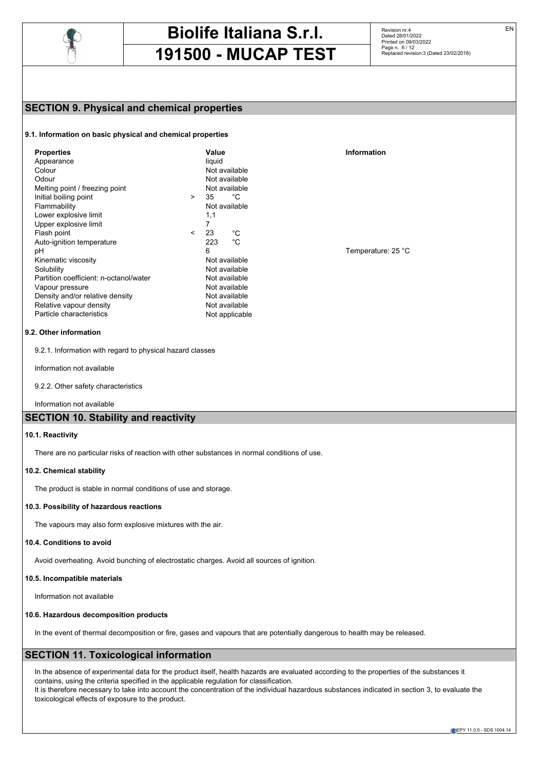

Revision nr.4 Dated 28/01/2022 Printed on 09/03/2022 Page n. 6/12 Replaced revision:3 (Dated 23/02/2018)

# **SECTION 9. Physical and chemical properties**

## **9.1. Information on basic physical and chemical properties**

| <b>Properties</b>                      |            | Value          | Information |
|----------------------------------------|------------|----------------|-------------|
| Appearance                             |            | liquid         |             |
| Colour                                 |            | Not available  |             |
| Odour                                  |            | Not available  |             |
| Melting point / freezing point         |            | Not available  |             |
| Initial boiling point                  | $\geq$     | 35<br>°С       |             |
| Flammability                           |            | Not available  |             |
| Lower explosive limit                  |            | 1,1            |             |
| Upper explosive limit                  |            | 7              |             |
| Flash point                            | $\epsilon$ | 23<br>°C       |             |
| Auto-ignition temperature              |            | °C<br>223      |             |
| рH                                     |            | 6              | Temperature |
| Kinematic viscosity                    |            | Not available  |             |
| Solubility                             |            | Not available  |             |
| Partition coefficient: n-octanol/water |            | Not available  |             |
| Vapour pressure                        |            | Not available  |             |
| Density and/or relative density        |            | Not available  |             |
| Relative vapour density                |            | Not available  |             |
| Particle characteristics               |            | Not applicable |             |
|                                        |            |                |             |

#### **9.2. Other information**

9.2.1. Information with regard to physical hazard classes

Information not available

9.2.2. Other safety characteristics

Information not available

# **SECTION 10. Stability and reactivity**

## **10.1. Reactivity**

There are no particular risks of reaction with other substances in normal conditions of use.

#### **10.2. Chemical stability**

The product is stable in normal conditions of use and storage.

#### **10.3. Possibility of hazardous reactions**

The vapours may also form explosive mixtures with the air.

#### **10.4. Conditions to avoid**

Avoid overheating. Avoid bunching of electrostatic charges. Avoid all sources of ignition.

#### **10.5. Incompatible materials**

Information not available

## **10.6. Hazardous decomposition products**

In the event of thermal decomposition or fire, gases and vapours that are potentially dangerous to health may be released.

# **SECTION 11. Toxicological information**

In the absence of experimental data for the product itself, health hazards are evaluated according to the properties of the substances it contains, using the criteria specified in the applicable regulation for classification.

It is therefore necessary to take into account the concentration of the individual hazardous substances indicated in section 3, to evaluate the toxicological effects of exposure to the product.

Temperature: 25 °C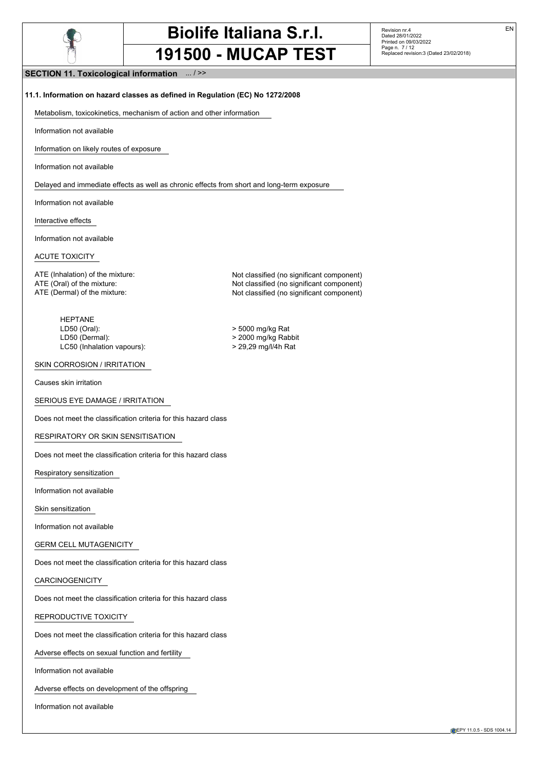

Revision nr.4 Dated 28/01/2022 Printed on 09/03/2022 Page n. 7 / 12 Replaced revision:3 (Dated 23/02/2018) EN

**SECTION 11. Toxicological information** ... / >>

### **11.1. Information on hazard classes as defined in Regulation (EC) No 1272/2008**

Metabolism, toxicokinetics, mechanism of action and other information

Information not available

Information on likely routes of exposure

Information not available

Delayed and immediate effects as well as chronic effects from short and long-term exposure

Information not available

Interactive effects

Information not available

ACUTE TOXICITY

ATE (Inhalation) of the mixture: Not classified (no significant component) ATE (Oral) of the mixture:  $\blacksquare$  Not classified (no significant component) ATE (Dermal) of the mixture: Not classified (no significant component)

HEPTANE LD50 (Oral): > 5000 mg/kg Rat LD50 (Dermal):<br>
LC50 (Inhalation vapours):<br>
> 29.29 mg/l/4h Rat LC50 (Inhalation vapours):

## SKIN CORROSION / IRRITATION

Causes skin irritation

SERIOUS EYE DAMAGE / IRRITATION

Does not meet the classification criteria for this hazard class

RESPIRATORY OR SKIN SENSITISATION

Does not meet the classification criteria for this hazard class

Respiratory sensitization

Information not available

Skin sensitization

Information not available

GERM CELL MUTAGENICITY

Does not meet the classification criteria for this hazard class

CARCINOGENICITY

Does not meet the classification criteria for this hazard class

REPRODUCTIVE TOXICITY

Does not meet the classification criteria for this hazard class

Adverse effects on sexual function and fertility

Information not available

Adverse effects on development of the offspring

Information not available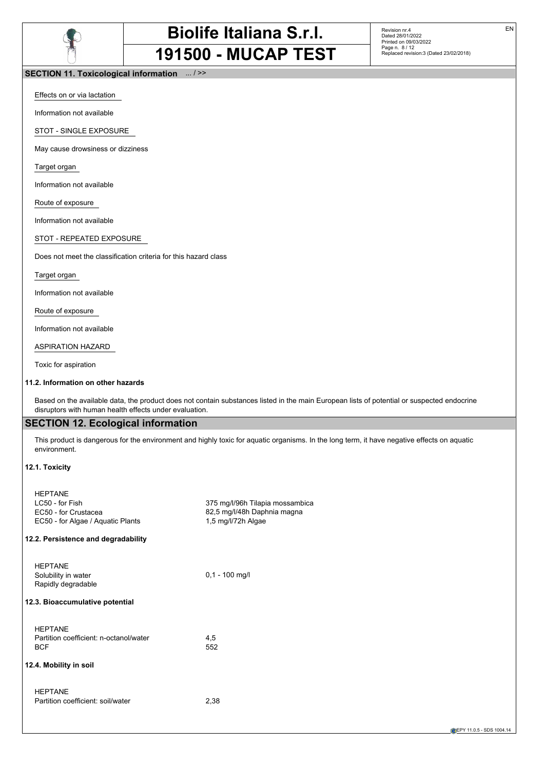

Revision nr.4 Dated 28/01/2022 Printed on 09/03/2022 Page n. 8 / 12 Replaced revision:3 (Dated 23/02/2018)

## **SECTION 11. Toxicological information** ... / >>

Effects on or via lactation

Information not available

STOT - SINGLE EXPOSURE

May cause drowsiness or dizziness

Target organ

Information not available

Route of exposure

Information not available

STOT - REPEATED EXPOSURE

Does not meet the classification criteria for this hazard class

Target organ

Information not available

Route of exposure

Information not available

ASPIRATION HAZARD

Toxic for aspiration

#### **11.2. Information on other hazards**

Based on the available data, the product does not contain substances listed in the main European lists of potential or suspected endocrine disruptors with human health effects under evaluation.

# **SECTION 12. Ecological information**

This product is dangerous for the environment and highly toxic for aquatic organisms. In the long term, it have negative effects on aquatic environment.

## **12.1. Toxicity**

| <b>HFPTANF</b><br>LC50 - for Fish<br>EC50 - for Crustacea<br>EC50 - for Algae / Aquatic Plants | 375 mg/l/96h Tilapia mossambica<br>82,5 mg/l/48h Daphnia magna<br>1,5 mg/l/72h Algae |
|------------------------------------------------------------------------------------------------|--------------------------------------------------------------------------------------|
| 12.2. Persistence and degradability                                                            |                                                                                      |
| <b>HEPTANE</b><br>Solubility in water<br>Rapidly degradable                                    | $0,1 - 100$ mg/l                                                                     |
| 12.3. Bioaccumulative potential                                                                |                                                                                      |
| <b>HFPTANF</b><br>Partition coefficient: n-octanol/water<br><b>BCF</b>                         | 4,5<br>552                                                                           |
| 12.4. Mobility in soil                                                                         |                                                                                      |
| <b>HFPTANF</b><br>Partition coefficient: soil/water                                            | 2,38                                                                                 |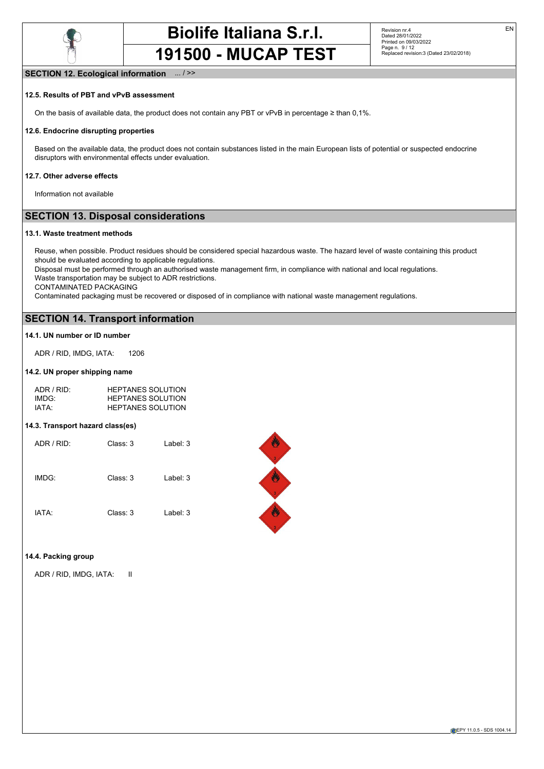

### **SECTION 12. Ecological information** ... / >>

#### **12.5. Results of PBT and vPvB assessment**

On the basis of available data, the product does not contain any PBT or vPvB in percentage ≥ than 0,1%.

#### **12.6. Endocrine disrupting properties**

Based on the available data, the product does not contain substances listed in the main European lists of potential or suspected endocrine disruptors with environmental effects under evaluation.

#### **12.7. Other adverse effects**

Information not available

# **SECTION 13. Disposal considerations**

#### **13.1. Waste treatment methods**

Reuse, when possible. Product residues should be considered special hazardous waste. The hazard level of waste containing this product should be evaluated according to applicable regulations.

Disposal must be performed through an authorised waste management firm, in compliance with national and local regulations. Waste transportation may be subject to ADR restrictions.

CONTAMINATED PACKAGING

Contaminated packaging must be recovered or disposed of in compliance with national waste management regulations.

# **SECTION 14. Transport information**

#### **14.1. UN number or ID number**

ADR / RID, IMDG, IATA: 1206

#### **14.2. UN proper shipping name**

| ADR / RID:        | <b>HEPTANES SOLUTION</b> |
|-------------------|--------------------------|
| IMDG <sup>.</sup> | <b>HEPTANES SOLUTION</b> |
| IATA:             | <b>HEPTANES SOLUTION</b> |

#### **14.3. Transport hazard class(es)**

| ADR / RID: | Class: 3 | Label: 3 |
|------------|----------|----------|
| IMDG:      | Class: 3 | Label: 3 |
| IATA:      | Class: 3 | Label: 3 |



#### **14.4. Packing group**

ADR / RID, IMDG, IATA: II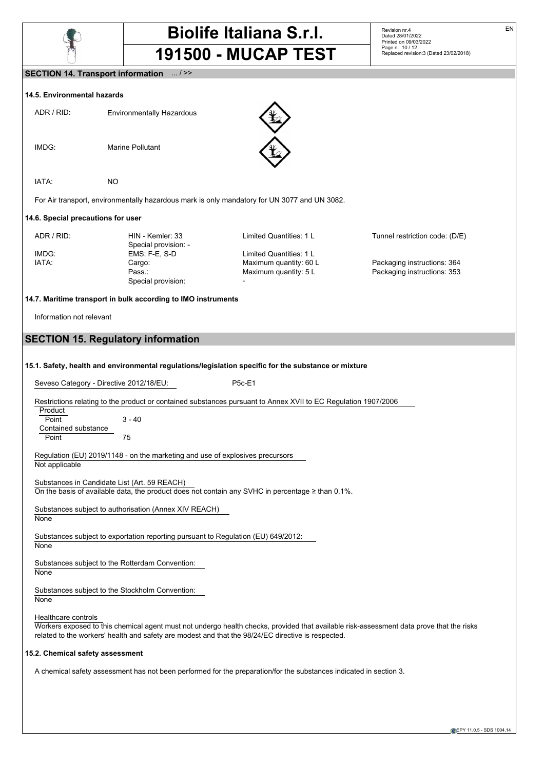

Revision nr.4 Dated 28/01/2022 Printed on 09/03/2022 Page n. 10 / 12 Replaced revision:3 (Dated 23/02/2018)

### **SECTION 14. Transport information** ... / >>

### **14.5. Environmental hazards**

| ADR / RID:                         | <b>Environmentally Hazardous</b>         |                                                                                              |                                |
|------------------------------------|------------------------------------------|----------------------------------------------------------------------------------------------|--------------------------------|
| IMDG:                              | <b>Marine Pollutant</b>                  |                                                                                              |                                |
| IATA:                              | NO.                                      |                                                                                              |                                |
|                                    |                                          | For Air transport, environmentally hazardous mark is only mandatory for UN 3077 and UN 3082. |                                |
| 14.6. Special precautions for user |                                          |                                                                                              |                                |
| ADR / RID:                         | HIN - Kemler: 33<br>Snecial provision: - | Limited Quantities: 1 L                                                                      | Tunnel restriction code: (D/E) |

|       | Special provision: - |                          |                             |
|-------|----------------------|--------------------------|-----------------------------|
| IMDG: | EMS: F-E, S-D        | Limited Quantities: 1 L  |                             |
| IATA: | Cargo:               | Maximum quantity: 60 L   | Packaging instructions: 364 |
|       | Pass.:               | Maximum quantity: 5 L    | Packaging instructions: 353 |
|       | Special provision:   | $\overline{\phantom{0}}$ |                             |

## **14.7. Maritime transport in bulk according to IMO instruments**

Information not relevant

# **SECTION 15. Regulatory information**

**15.1. Safety, health and environmental regulations/legislation specific for the substance or mixture**

Seveso Category - Directive 2012/18/EU: P5c-E1

Restrictions relating to the product or contained substances pursuant to Annex XVII to EC Regulation 1907/2006

**Product** Point 3 - 40 Contained substance Point 75

Regulation (EU) 2019/1148 - on the marketing and use of explosives precursors Not applicable

Substances in Candidate List (Art. 59 REACH) On the basis of available data, the product does not contain any SVHC in percentage ≥ than 0,1%.

Substances subject to authorisation (Annex XIV REACH) None

Substances subject to exportation reporting pursuant to Regulation (EU) 649/2012: **None** 

Substances subject to the Rotterdam Convention: **None** 

Substances subject to the Stockholm Convention:

**None** 

Healthcare controls

Workers exposed to this chemical agent must not undergo health checks, provided that available risk-assessment data prove that the risks related to the workers' health and safety are modest and that the 98/24/EC directive is respected.

### **15.2. Chemical safety assessment**

A chemical safety assessment has not been performed for the preparation/for the substances indicated in section 3.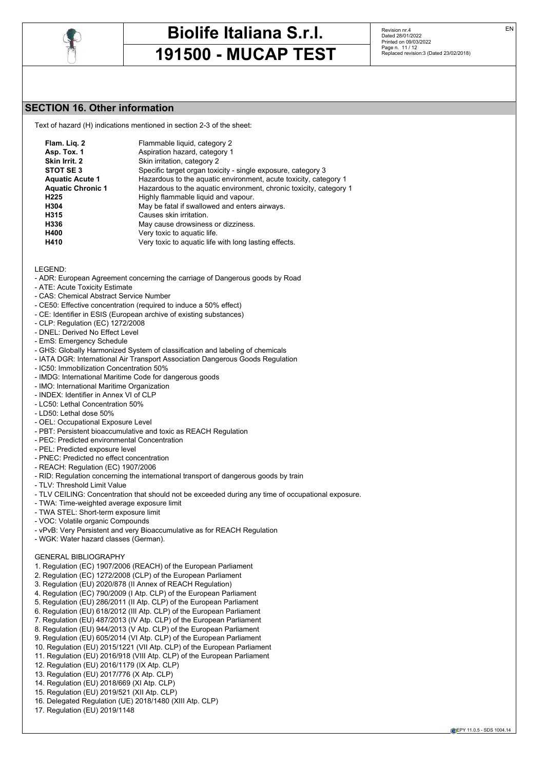

Revision nr.4 Dated 28/01/2022 Printed on 09/03/2022 Page n. 11 / 12 Replaced revision:3 (Dated 23/02/2018)

# **SECTION 16. Other information**

Text of hazard (H) indications mentioned in section 2-3 of the sheet:

| Flam. Lig. 2             | Flammable liquid, category 2                                       |
|--------------------------|--------------------------------------------------------------------|
| Asp. Tox. 1              | Aspiration hazard, category 1                                      |
| Skin Irrit. 2            | Skin irritation, category 2                                        |
| STOT SE 3                | Specific target organ toxicity - single exposure, category 3       |
| <b>Aquatic Acute 1</b>   | Hazardous to the aquatic environment, acute toxicity, category 1   |
| <b>Aquatic Chronic 1</b> | Hazardous to the aquatic environment, chronic toxicity, category 1 |
| H <sub>225</sub>         | Highly flammable liquid and vapour.                                |
| H304                     | May be fatal if swallowed and enters airways.                      |
| H315                     | Causes skin irritation.                                            |
| H336                     | May cause drowsiness or dizziness.                                 |
| H400                     | Very toxic to aquatic life.                                        |
| H410                     | Very toxic to aquatic life with long lasting effects.              |

#### LEGEND:

- ADR: European Agreement concerning the carriage of Dangerous goods by Road
- ATE: Acute Toxicity Estimate
- CAS: Chemical Abstract Service Number
- CE50: Effective concentration (required to induce a 50% effect)
- CE: Identifier in ESIS (European archive of existing substances)
- CLP: Regulation (EC) 1272/2008
- DNEL: Derived No Effect Level
- EmS: Emergency Schedule
- GHS: Globally Harmonized System of classification and labeling of chemicals
- IATA DGR: International Air Transport Association Dangerous Goods Regulation
- IC50: Immobilization Concentration 50%
- IMDG: International Maritime Code for dangerous goods
- IMO: International Maritime Organization
- INDEX: Identifier in Annex VI of CLP
- LC50: Lethal Concentration 50%
- LD50: Lethal dose 50%
- OEL: Occupational Exposure Level
- PBT: Persistent bioaccumulative and toxic as REACH Regulation
- PEC: Predicted environmental Concentration
- PEL: Predicted exposure level
- PNEC: Predicted no effect concentration
- REACH: Regulation (EC) 1907/2006
- RID: Regulation concerning the international transport of dangerous goods by train
- TLV: Threshold Limit Value
- TLV CEILING: Concentration that should not be exceeded during any time of occupational exposure.
- TWA: Time-weighted average exposure limit
- TWA STEL: Short-term exposure limit
- VOC: Volatile organic Compounds
- vPvB: Very Persistent and very Bioaccumulative as for REACH Regulation
- WGK: Water hazard classes (German).

### GENERAL BIBLIOGRAPHY

- 1. Regulation (EC) 1907/2006 (REACH) of the European Parliament
- 2. Regulation (EC) 1272/2008 (CLP) of the European Parliament
- 3. Regulation (EU) 2020/878 (II Annex of REACH Regulation)
- 4. Regulation (EC) 790/2009 (I Atp. CLP) of the European Parliament
- 5. Regulation (EU) 286/2011 (II Atp. CLP) of the European Parliament
- 6. Regulation (EU) 618/2012 (III Atp. CLP) of the European Parliament
- 7. Regulation (EU) 487/2013 (IV Atp. CLP) of the European Parliament
- 8. Regulation (EU) 944/2013 (V Atp. CLP) of the European Parliament
- 9. Regulation (EU) 605/2014 (VI Atp. CLP) of the European Parliament
- 10. Regulation (EU) 2015/1221 (VII Atp. CLP) of the European Parliament
- 11. Regulation (EU) 2016/918 (VIII Atp. CLP) of the European Parliament
- 12. Regulation (EU) 2016/1179 (IX Atp. CLP)
- 13. Regulation (EU) 2017/776 (X Atp. CLP)
- 14. Regulation (EU) 2018/669 (XI Atp. CLP)
- 15. Regulation (EU) 2019/521 (XII Atp. CLP)
- 16. Delegated Regulation (UE) 2018/1480 (XIII Atp. CLP)
- 17. Regulation (EU) 2019/1148